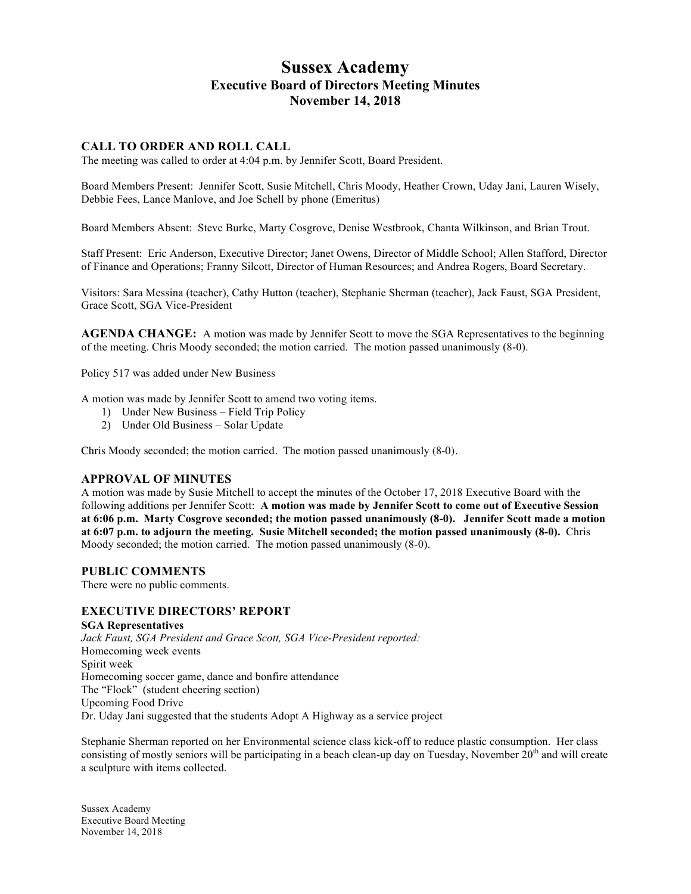# **Sussex Academy Executive Board of Directors Meeting Minutes November 14, 2018**

# **CALL TO ORDER AND ROLL CALL**

The meeting was called to order at 4:04 p.m. by Jennifer Scott, Board President.

Board Members Present: Jennifer Scott, Susie Mitchell, Chris Moody, Heather Crown, Uday Jani, Lauren Wisely, Debbie Fees, Lance Manlove, and Joe Schell by phone (Emeritus)

Board Members Absent: Steve Burke, Marty Cosgrove, Denise Westbrook, Chanta Wilkinson, and Brian Trout.

Staff Present: Eric Anderson, Executive Director; Janet Owens, Director of Middle School; Allen Stafford, Director of Finance and Operations; Franny Silcott, Director of Human Resources; and Andrea Rogers, Board Secretary.

Visitors: Sara Messina (teacher), Cathy Hutton (teacher), Stephanie Sherman (teacher), Jack Faust, SGA President, Grace Scott, SGA Vice-President

**AGENDA CHANGE:** A motion was made by Jennifer Scott to move the SGA Representatives to the beginning of the meeting. Chris Moody seconded; the motion carried. The motion passed unanimously (8-0).

Policy 517 was added under New Business

A motion was made by Jennifer Scott to amend two voting items.

- 1) Under New Business Field Trip Policy
- 2) Under Old Business Solar Update

Chris Moody seconded; the motion carried. The motion passed unanimously (8-0).

#### **APPROVAL OF MINUTES**

A motion was made by Susie Mitchell to accept the minutes of the October 17, 2018 Executive Board with the following additions per Jennifer Scott: **A motion was made by Jennifer Scott to come out of Executive Session at 6:06 p.m. Marty Cosgrove seconded; the motion passed unanimously (8-0). Jennifer Scott made a motion at 6:07 p.m. to adjourn the meeting. Susie Mitchell seconded; the motion passed unanimously (8-0).** Chris Moody seconded; the motion carried. The motion passed unanimously (8-0).

#### **PUBLIC COMMENTS**

There were no public comments.

## **EXECUTIVE DIRECTORS' REPORT**

#### **SGA Representatives**

*Jack Faust, SGA President and Grace Scott, SGA Vice-President reported:* Homecoming week events Spirit week Homecoming soccer game, dance and bonfire attendance The "Flock" (student cheering section) Upcoming Food Drive Dr. Uday Jani suggested that the students Adopt A Highway as a service project

Stephanie Sherman reported on her Environmental science class kick-off to reduce plastic consumption. Her class consisting of mostly seniors will be participating in a beach clean-up day on Tuesday, November 20<sup>th</sup> and will create a sculpture with items collected.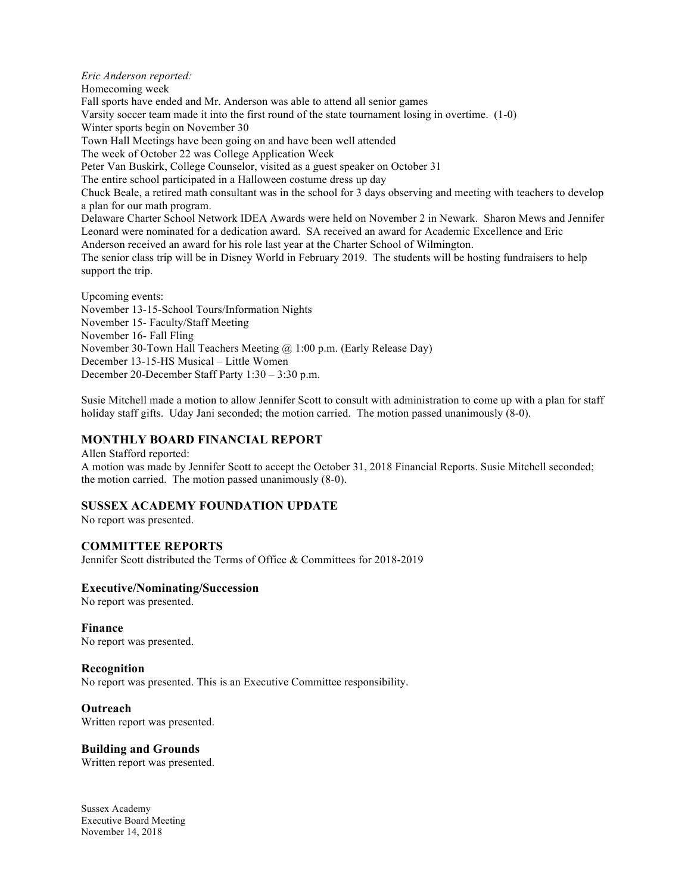*Eric Anderson reported:* Homecoming week Fall sports have ended and Mr. Anderson was able to attend all senior games Varsity soccer team made it into the first round of the state tournament losing in overtime. (1-0) Winter sports begin on November 30 Town Hall Meetings have been going on and have been well attended The week of October 22 was College Application Week Peter Van Buskirk, College Counselor, visited as a guest speaker on October 31 The entire school participated in a Halloween costume dress up day Chuck Beale, a retired math consultant was in the school for 3 days observing and meeting with teachers to develop a plan for our math program. Delaware Charter School Network IDEA Awards were held on November 2 in Newark. Sharon Mews and Jennifer Leonard were nominated for a dedication award. SA received an award for Academic Excellence and Eric Anderson received an award for his role last year at the Charter School of Wilmington. The senior class trip will be in Disney World in February 2019. The students will be hosting fundraisers to help support the trip. Upcoming events: November 13-15-School Tours/Information Nights November 15- Faculty/Staff Meeting

November 16- Fall Fling

November 30-Town Hall Teachers Meeting @ 1:00 p.m. (Early Release Day)

December 13-15-HS Musical – Little Women

December 20-December Staff Party 1:30 – 3:30 p.m.

Susie Mitchell made a motion to allow Jennifer Scott to consult with administration to come up with a plan for staff holiday staff gifts. Uday Jani seconded; the motion carried. The motion passed unanimously (8-0).

### **MONTHLY BOARD FINANCIAL REPORT**

Allen Stafford reported: A motion was made by Jennifer Scott to accept the October 31, 2018 Financial Reports. Susie Mitchell seconded; the motion carried. The motion passed unanimously (8-0).

### **SUSSEX ACADEMY FOUNDATION UPDATE**

No report was presented.

# **COMMITTEE REPORTS**

Jennifer Scott distributed the Terms of Office & Committees for 2018-2019

### **Executive/Nominating/Succession**

No report was presented.

### **Finance**

No report was presented.

### **Recognition**

No report was presented. This is an Executive Committee responsibility.

### **Outreach**

Written report was presented.

### **Building and Grounds**

Written report was presented.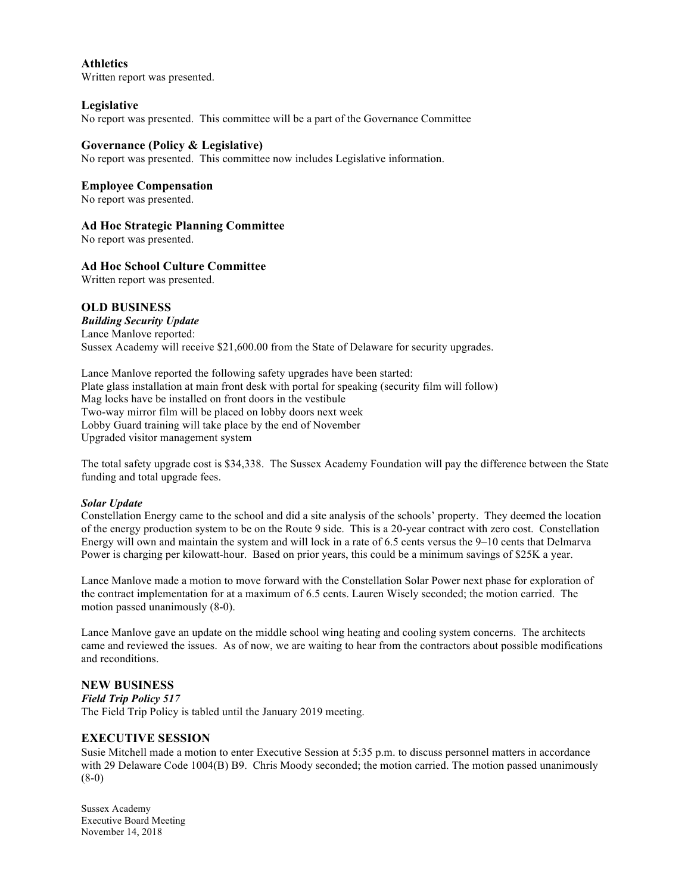**Athletics** Written report was presented.

## **Legislative**

No report was presented. This committee will be a part of the Governance Committee

#### **Governance (Policy & Legislative)**

No report was presented. This committee now includes Legislative information.

#### **Employee Compensation**

No report was presented.

## **Ad Hoc Strategic Planning Committee**

No report was presented.

#### **Ad Hoc School Culture Committee**

Written report was presented.

### **OLD BUSINESS**

*Building Security Update* Lance Manlove reported: Sussex Academy will receive \$21,600.00 from the State of Delaware for security upgrades.

Lance Manlove reported the following safety upgrades have been started: Plate glass installation at main front desk with portal for speaking (security film will follow) Mag locks have be installed on front doors in the vestibule Two-way mirror film will be placed on lobby doors next week Lobby Guard training will take place by the end of November Upgraded visitor management system

The total safety upgrade cost is \$34,338. The Sussex Academy Foundation will pay the difference between the State funding and total upgrade fees.

#### *Solar Update*

Constellation Energy came to the school and did a site analysis of the schools' property. They deemed the location of the energy production system to be on the Route 9 side. This is a 20-year contract with zero cost. Constellation Energy will own and maintain the system and will lock in a rate of 6.5 cents versus the 9–10 cents that Delmarva Power is charging per kilowatt-hour. Based on prior years, this could be a minimum savings of \$25K a year.

Lance Manlove made a motion to move forward with the Constellation Solar Power next phase for exploration of the contract implementation for at a maximum of 6.5 cents. Lauren Wisely seconded; the motion carried. The motion passed unanimously (8-0).

Lance Manlove gave an update on the middle school wing heating and cooling system concerns. The architects came and reviewed the issues. As of now, we are waiting to hear from the contractors about possible modifications and reconditions.

### **NEW BUSINESS**

*Field Trip Policy 517* The Field Trip Policy is tabled until the January 2019 meeting.

### **EXECUTIVE SESSION**

Susie Mitchell made a motion to enter Executive Session at 5:35 p.m. to discuss personnel matters in accordance with 29 Delaware Code 1004(B) B9. Chris Moody seconded; the motion carried. The motion passed unanimously (8-0)